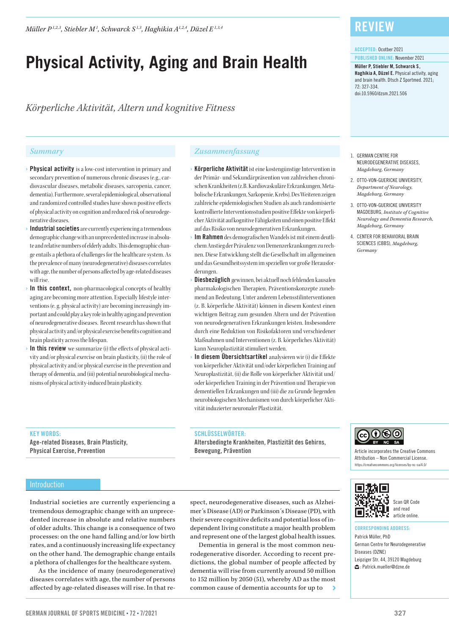*Müller P1,2,3 , Stiebler M1 , Schwarck S 1,3 , Haghikia A1,2,4 , Düzel E1,3,4*

# **Physical Activity, Aging and Brain Health**

*Körperliche Aktivität, Altern und kognitive Fitness*

- › Physical activity is a low-cost intervention in primary and secondary prevention of numerous chronic diseases (e.g., cardiovascular diseases, metabolic diseases, sarcopenia, cancer, dementia). Furthermore, several epidemiological, observational and randomized controlled studies have shown positive effects of physical activity on cognition and reduced risk of neurodegenerative diseases.
- Industrial societies are currently experiencing a tremendous demographic change with an unprecedented increase in absolute and relative numbers of elderly adults. This demographic change entails a plethora of challenges for the healthcare system. As the prevalence of many (neurodegenerative) diseases correlates with age, the number of persons affected by age-related diseases will rise.
- $\rightarrow$  In this context, non-pharmacological concepts of healthy aging are becoming more attention. Especially lifestyle interventions (e.g. physical activity) are becoming increasingly important and could play a key role in healthy aging and prevention of neurodegenerative diseases. Recent research has shown that physical activity and/or physical exercise benefits cognition and brain plasticity across the lifespan.
- › In this review we summarize (i) the effects of physical activity and/or physical exercise on brain plasticity, (ii) the role of physical activity and/or physical exercise in the prevention and therapy of dementia, and (iii) potential neurobiological mechanisms of physical activity-induced brain plasticity.

### *Summary Zusammenfassung*

- › Körperliche Aktivität ist eine kostengünstige Intervention in der Primär- und Sekundärprävention von zahlreichen chronischen Krankheiten (z.B. Kardiovaskuläre Erkrankungen, Metabolische Erkrankungen, Sarkopenie, Krebs). Des Weiteren zeigen zahlreiche epidemiologischen Studien als auch randomisierte kontrollierte Interventionsstudien positive Effekte von körperlicher Aktivität auf kognitive Fähigkeiten und einen positive Effekt auf das Risiko von neurodegenerativen Erkrankungen.
- Im Rahmen des demografischen Wandels ist mit einem deutlichem Anstieg der Prävalenz von Demenzerkrankungen zu rechnen. Diese Entwicklung stellt die Gesellschaft im allgemeinen und das Gesundheitssystem im speziellen vor große Herausforderungen.
- Diesbezüglich gewinnen, bei aktuell noch fehlenden kausalen pharmakologischen Therapien, Präventionskonzepte zunehmend an Bedeutung. Unter anderem Lebensstilinterventionen (z. B. körperliche Aktivität) können in diesem Kontext einen wichtigen Beitrag zum gesunden Altern und der Prävention von neurodegenerativen Erkrankungen leisten. Insbesondere durch eine Reduktion von Risikofaktoren und verschiedener Maßnahmen und Interventionen (z. B. körperliches Aktivität) kann Neuroplastizität stimuliert werden.
- In diesem Übersichtsartikel analysieren wir (i) die Effekte von körperlicher Aktivität und/oder körperlichen Training auf Neuroplastizität, (ii) die Rolle von körperlicher Aktivität und/ oder körperlichen Training in der Prävention und Therapie von dementiellen Erkrankungen und (iii) die zu Grunde liegenden neurobiologischen Mechanismen von durch körperlicher Aktivität induzierter neuronaler Plastizität.

#### KEY WORDS:

Age-related Diseases, Brain Plasticity, Physical Exercise, Prevention

#### SCHLÜSSELWÖRTER:

Altersbedingte Krankheiten, Plastizität des Gehirns, Bewegung, Prävention

#### Introduction

Industrial societies are currently experiencing a tremendous demographic change with an unprecedented increase in absolute and relative numbers of older adults. This change is a consequence of two processes: on the one hand falling and/or low birth rates, and a continuously increasing life expectancy on the other hand. The demographic change entails a plethora of challenges for the healthcare system.

As the incidence of many (neurodegenerative) diseases correlates with age, the number of persons affected by age-related diseases will rise. In that respect, neurodegenerative diseases, such as Alzheimer´s Disease (AD) or Parkinson´s Disease (PD), with their severe cognitive deficits and potential loss of independent living constitute a major health problem and represent one of the largest global health issues.

Dementia in general is the most common neurodegenerative disorder. According to recent predictions, the global number of people affected by dementia will rise from currently around 50 million to 152 million by 2050 (51), whereby AD as the most common cause of dementia accounts for up to

# **REVIEW**

#### ACCEPTED: Ocotber 2021

PUBLISHED ONLINE: November 2021 Müller P, Stiebler M, Schwarck S , Haghikia A, Düzel E. Physical activity, aging and brain health. Dtsch Z Sportmed. 2021; 72: 327-334. doi:10.5960/dzsm.2021.506

- 1. GERMAN CENTRE FOR NEURODEGENERATIVE DISEASES, *Magdeburg, Germany*
- 2. OTTO-VON-GUERICKE UNIVERSITY, *Department of Neurology, Magdeburg, Germany*
- 3. OTTO-VON-GUERICKE UNIVERSITY MAGDEBURG, *Institute of Cognitive Neurology and Dementia Research, Magdeburg, Germany*
- 4. CENTER FOR BEHAVIORAL BRAIN SCIENCES (CBBS), *Magdeburg, Germany*



Article incorporates the Creative Commons Attribution – Non Commercial License. https://creativecommons.org/licenses/by-nc-sa/4.0/



#### Scan QR Code and read article online.

CORRESPONDING ADDRESS: Patrick Müller, PhD

German Centre for Neurodegenerative Diseases (DZNE) Leipziger Str. 44, 39120 Magdeburg : Patrick.mueller@dzne.de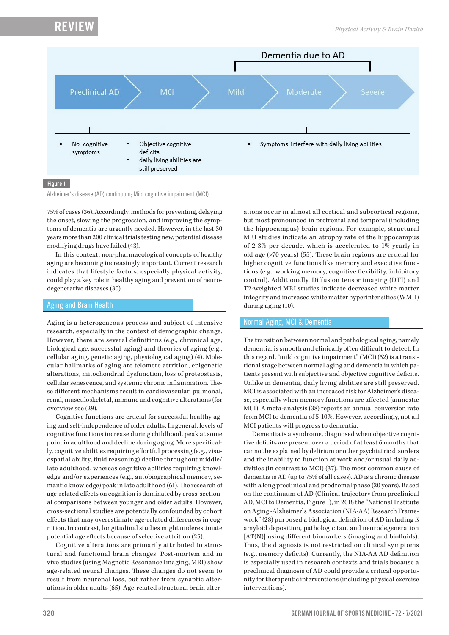RE<sup>v</sup>



75% of cases (36). Accordingly, methods for preventing, delaying the onset, slowing the progression, and improving the symptoms of dementia are urgently needed. However, in the last 30 years more than 200 clinical trials testing new, potential disease modifying drugs have failed (43).

In this context, non-pharmacological concepts of healthy aging are becoming increasingly important. Current research indicates that lifestyle factors, especially physical activity, could play a key role in healthy aging and prevention of neurodegenerative diseases (30).

## Aging and Brain Health

Aging is a heterogeneous process and subject of intensive research, especially in the context of demographic change. However, there are several definitions (e.g., chronical age, biological age, successful aging) and theories of aging (e.g., cellular aging, genetic aging, physiological aging) (4). Molecular hallmarks of aging are telomere attrition, epigenetic alterations, mitochondrial dysfunction, loss of proteostasis, cellular senescence, and systemic chronic inflammation. These different mechanisms result in cardiovascular, pulmonal, renal, musculoskeletal, immune and cognitive alterations (for overview see (29).

Cognitive functions are crucial for successful healthy aging and self-independence of older adults. In general, levels of cognitive functions increase during childhood, peak at some point in adulthood and decline during aging. More specifically, cognitive abilities requiring effortful processing (e.g., visuospatial ability, fluid reasoning) decline throughout middle/ late adulthood, whereas cognitive abilities requiring knowledge and/or experiences (e.g., autobiographical memory, semantic knowledge) peak in late adulthood (61). The research of age-related effects on cognition is dominated by cross-sectional comparisons between younger and older adults. However, cross-sectional studies are potentially confounded by cohort effects that may overestimate age-related differences in cognition. In contrast, longitudinal studies might underestimate potential age effects because of selective attrition (25).

Cognitive alterations are primarily attributed to structural and functional brain changes. Post-mortem and in vivo studies (using Magnetic Resonance Imaging, MRI) show age-related neural changes. These changes do not seem to result from neuronal loss, but rather from synaptic alterations in older adults (65). Age-related structural brain alterations occur in almost all cortical and subcortical regions, but most pronounced in prefrontal and temporal (including the hippocampus) brain regions. For example, structural MRI studies indicate an atrophy rate of the hippocampus of 2-3% per decade, which is accelerated to 1% yearly in old age (>70 years) (55). These brain regions are crucial for higher cognitive functions like memory and executive functions (e.g., working memory, cognitive flexibility, inhibitory control). Additionally, Diffusion tensor imaging (DTI) and T2-weighted MRI studies indicate decreased white matter integrity and increased white matter hyperintensities (WMH) during aging (10).

### Normal Aging, MCI & Dementia

The transition between normal and pathological aging, namely dementia, is smooth and clinically often difficult to detect. In this regard, "mild cognitive impairment" (MCI) (52) is a transitional stage between normal aging and dementia in which patients present with subjective and objective cognitive deficits. Unlike in dementia, daily living abilities are still preserved. MCI is associated with an increased risk for Alzheimer's disease, especially when memory functions are affected (amnestic MCI). A meta-analysis (38) reports an annual conversion rate from MCI to dementia of 5-10%. However, accordingly, not all MCI patients will progress to dementia.

Dementia is a syndrome, diagnosed when objective cognitive deficits are present over a period of at least 6 months that cannot be explained by delirium or other psychiatric disorders and the inability to function at work and/or usual daily activities (in contrast to MCI) (37). The most common cause of dementia is AD (up to 75% of all cases). AD is a chronic disease with a long preclinical and prodromal phase (20 years). Based on the continuum of AD (Clinical trajectory from preclinical AD, MCI to Dementia, Figure 1), in 2018 the "National Institute on Aging -Alzheimer`s Association (NIA-AA) Research Framework" (28) purposed a biological definition of AD including ß amyloid deposition, pathologic tau, and neurodegeneration [AT(N)] using different biomarkers (imaging and biofluids). Thus, the diagnosis is not restricted on clinical symptoms (e.g., memory deficits). Currently, the NIA-AA AD definition is especially used in research contexts and trials because a preclinical diagnosis of AD could provide a critical opportunity for therapeutic interventions (including physical exercise interventions).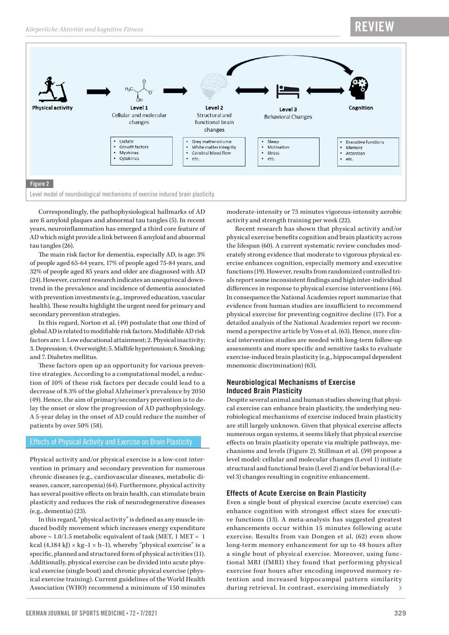# RE<sup>V</sup>



Correspondingly, the pathophysiological hallmarks of AD are ß amyloid plaques and abnormal tau tangles (5). In recent years, neuroinflammation has emerged a third core feature of AD which might provide a link between ß amyloid and abnormal tau tangles (26).

The main risk factor for dementia, especially AD, is age: 3% of people aged 65-64 years, 17% of people aged 75-84 years, and 32% of people aged 85 years and older are diagnosed with AD (24). However, current research indicates an unequivocal downtrend in the prevalence and incidence of dementia associated with prevention investments (e.g., improved education, vascular health). These results highlight the urgent need for primary and secondary prevention strategies.

In this regard, Norton et al. (49) postulate that one third of global AD is related to modifiable risk factors. Modifiable AD risk factors are: 1. Low educational attainment; 2. Physical inactivity; 3. Depression; 4. Overweight; 5. Midlife hypertension; 6. Smoking; and 7. Diabetes mellitus.

These factors open up an opportunity for various preventive strategies. According to a computational model, a reduction of 10% of these risk factors per decade could lead to a decrease of 8.3% of the global Alzheimer's prevalence by 2050 (49). Hence, the aim of primary/secondary prevention is to delay the onset or slow the progression of AD pathophysiology. A 5-year delay in the onset of AD could reduce the number of patients by over 50% (58).

# Effects of Physical Activity and Exercise on Brain Plasticity

Physical activity and/or physical exercise is a low-cost intervention in primary and secondary prevention for numerous chronic diseases (e.g., cardiovascular diseases, metabolic diseases, cancer, sarcopenia) (64). Furthermore, physical activity has several positive effects on brain health, can stimulate brain plasticity and reduces the risk of neurodegenerative diseases (e.g., dementia) (23).

In this regard, "physical activity" is defined as any muscle-induced bodily movement which increases energy expenditure above  $\sim 1.0/1.5$  metabolic equivalent of task (MET, 1 MET = 1 kcal (4,184 kJ) × kg-1 × h−1), whereby "physical exercise" is a specific, planned and structured form of physical activities (11). Additionally, physical exercise can be divided into acute physical exercise (single bout) and chronic physical exercise (physical exercise training). Current guidelines of the World Health Association (WHO) recommend a minimum of 150 minutes

moderate-intensity or 75 minutes vigorous-intensity aerobic activity and strength training per week (22).

Recent research has shown that physical activity and/or physical exercise benefits cognition and brain plasticity across the lifespan (60). A current systematic review concludes moderately strong evidence that moderate to vigorous physical exercise enhances cognition, especially memory and executive functions (19). However, results from randomized controlled trials report some inconsistent findings and high inter-individual differences in response to physical exercise interventions (46). In consequence the National Academies report summarize that evidence from human studies are insufficient to recommend physical exercise for preventing cognitive decline (17). For a detailed analysis of the National Academies report we recommend a perspective article by Voss et al. (63). Hence, more clinical intervention studies are needed with long-term follow-up assessments and more specific and sensitive tasks to evaluate exercise-induced brain plasticity (e.g., hippocampal dependent mnemonic discrimination) (63).

### **Neurobiological Mechanisms of Exercise Induced Brain Plasticity**

Despite several animal and human studies showing that physical exercise can enhance brain plasticity, the underlying neurobiological mechanisms of exercise induced brain plasticity are still largely unknown. Given that physical exercise affects numerous organ systems, it seems likely that physical exercise effects on brain plasticity operate via multiple pathways, mechanisms and levels (Figure 2). Stillman et al. (59) propose a level model: cellular and molecular changes (Level 1) initiate structural and functional brain (Level 2) and/or behavioral (Level 3) changes resulting in cognitive enhancement.

### **Effects of Acute Exercise on Brain Plasticity**

Even a single bout of physical exercise (acute exercise) can enhance cognition with strongest effect sizes for executive functions (13). A meta-analysis has suggested greatest enhancements occur within 15 minutes following acute exercise. Results from van Dongen et al. (62) even show long-term memory enhancement for up to 48 hours after a single bout of physical exercise. Moreover, using functional MRI (fMRI) they found that performing physical exercise four hours after encoding improved memory retention and increased hippocampal pattern similarity during retrieval. In contrast, exercising immediately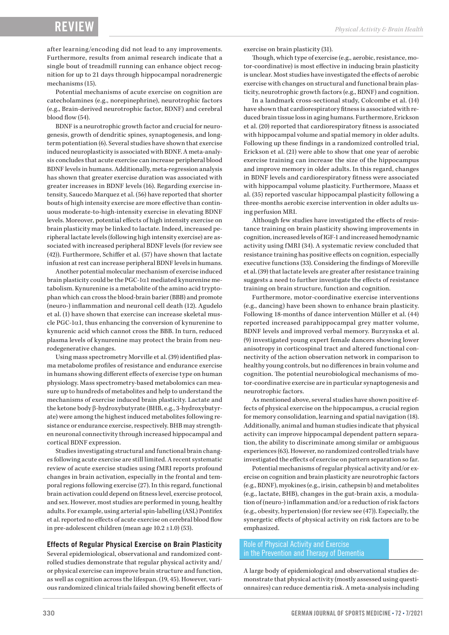after learning/encoding did not lead to any improvements. Furthermore, results from animal research indicate that a single bout of treadmill running can enhance object recognition for up to 21 days through hippocampal noradrenergic mechanisms (15).

Potential mechanisms of acute exercise on cognition are catecholamines (e.g., norepinephrine), neurotrophic factors (e.g., Brain-derived neurotrophic factor, BDNF) and cerebral blood flow (54).

BDNF is a neurotrophic growth factor and crucial for neurogenesis, growth of dendritic spines, synaptogenesis, and longterm potentiation (6). Several studies have shown that exercise induced neuroplasticity is associated with BDNF. A meta-analysis concludes that acute exercise can increase peripheral blood BDNF levels in humans. Additionally, meta-regression analysis has shown that greater exercise duration was associated with greater increases in BDNF levels (16). Regarding exercise intensity, Saucedo Marquez et al. (56) have reported that shorter bouts of high intensity exercise are more effective than continuous moderate-to-high-intensity exercise in elevating BDNF levels. Moreover, potential effects of high intensity exercise on brain plasticity may be linked to lactate. Indeed, increased peripheral lactate levels (following high intensity exercise) are associated with increased peripheral BDNF levels (for review see (42)). Furthermore, Schiffer et al. (57) have shown that lactate infusion at rest can increase peripheral BDNF levels in humans.

Another potential molecular mechanism of exercise induced brain plasticity could be the PGC-1α1 mediated kynurenine metabolism. Kynurenine is a metabolite of the amino acid tryptophan which can cross the blood-brain barier (BBB) and promote (neuro-) inflammation and neuronal cell death (12). Agudelo et al. (1) have shown that exercise can increase skeletal muscle PGC-1 $\alpha$ 1, thus enhancing the conversion of kynurenine to kynurenic acid which cannot cross the BBB. In turn, reduced plasma levels of kynurenine may protect the brain from neurodegenerative changes.

Using mass spectrometry Morville et al. (39) identified plasma metabolome profiles of resistance and endurance exercise in humans showing different effects of exercise type on human physiology. Mass spectrometry-based metabolomics can measure up to hundreds of metabolites and help to understand the mechanisms of exercise induced brain plasticity. Lactate and the ketone body β-hydroxybutyrate (BHB, e.g., 3-hydroxybutyrate) were among the highest induced metabolites following resistance or endurance exercise, respectively. BHB may strengthen neuronal connectivity through increased hippocampal and cortical BDNF expression.

Studies investigating structural and functional brain changes following acute exercise are still limited. A recent systematic review of acute exercise studies using fMRI reports profound changes in brain activation, especially in the frontal and temporal regions following exercise (27). In this regard, functional brain activation could depend on fitness level, exercise protocol, and sex. However, most studies are performed in young, healthy adults. For example, using arterial spin-labelling (ASL) Pontifex et al. reported no effects of acute exercise on cerebral blood flow in pre-adolescent children (mean age 10.2 ±1.0) (53).

#### **Effects of Regular Physical Exercise on Brain Plasticity**

Several epidemiological, observational and randomized controlled studies demonstrate that regular physical activity and/ or physical exercise can improve brain structure and function, as well as cognition across the lifespan. (19, 45). However, various randomized clinical trials failed showing benefit effects of exercise on brain plasticity (31).

Though, which type of exercise (e.g., aerobic, resistance, motor-coordinative) is most effective in inducing brain plasticity is unclear. Most studies have investigated the effects of aerobic exercise with changes on structural and functional brain plasticity, neurotrophic growth factors (e.g., BDNF) and cognition.

In a landmark cross-sectional study, Colcombe et al. (14) have shown that cardiorespiratory fitness is associated with reduced brain tissue loss in aging humans. Furthermore, Erickson et al. (20) reported that cardiorespiratory fitness is associated with hippocampal volume and spatial memory in older adults. Following up these findings in a randomized controlled trial, Erickson et al. (21) were able to show that one year of aerobic exercise training can increase the size of the hippocampus and improve memory in older adults. In this regard, changes in BDNF levels and cardiorespiratory fitness were associated with hippocampal volume plasticity. Furthermore, Maass et al. (35) reported vascular hippocampal plasticity following a three-months aerobic exercise intervention in older adults using perfusion MRI.

Although few studies have investigated the effects of resistance training on brain plasticity showing improvements in cognition, increased levels of IGF-1 and increased hemodynamic activity using fMRI (34). A systematic review concluded that resistance training has positive effects on cognition, especially executive functions (33). Considering the findings of Moreville et al. (39) that lactate levels are greater after resistance training suggests a need to further investigate the effects of resistance training on brain structure, function and cognition.

Furthermore, motor-coordinative exercise interventions (e.g., dancing) have been shown to enhance brain plasticity. Following 18-months of dance intervention Müller et al. (44) reported increased parahippocampal grey matter volume, BDNF levels and improved verbal memory. Burzynska et al. (9) investigated young expert female dancers showing lower anisotropy in corticospinal tract and altered functional connectivity of the action observation network in comparison to healthy young controls, but no differences in brain volume and cognition. The potential neurobiological mechanisms of motor-coordinative exercise are in particular synaptogenesis and neurotrophic factors.

As mentioned above, several studies have shown positive effects of physical exercise on the hippocampus, a crucial region for memory consolidation, learning and spatial navigation (18). Additionally, animal and human studies indicate that physical activity can improve hippocampal dependent pattern separation, the ability to discriminate among similar or ambiguous experiences (63). However, no randomized controlled trials have investigated the effects of exercise on pattern separation so far.

Potential mechanisms of regular physical activity and/or exercise on cognition and brain plasticity are neurotrophic factors (e.g., BDNF), myokines (e.g., irisin, cathepsin b) and metabolites (e.g., lactate, BHB), changes in the gut-brain axis, a modulation of (neuro-) inflammation and/or a reduction of risk factors (e.g., obesity, hypertension) (for review see (47)). Especially, the synergetic effects of physical activity on risk factors are to be emphasized.

### Role of Physical Activity and Exercise in the Prevention and Therapy of Dementia

A large body of epidemiological and observational studies demonstrate that physical activity (mostly assessed using questionnaires) can reduce dementia risk. A meta-analysis including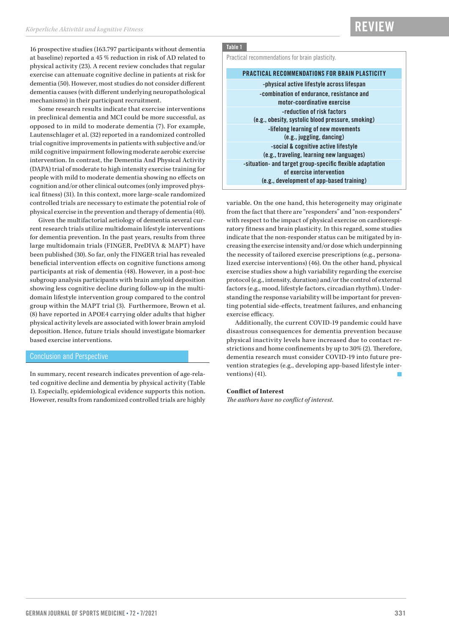16 prospective studies (163.797 participants without dementia at baseline) reported a 45 % reduction in risk of AD related to physical activity (23). A recent review concludes that regular exercise can attenuate cognitive decline in patients at risk for dementia (50). However, most studies do not consider different dementia causes (with different underlying neuropathological mechanisms) in their participant recruitment.

Some research results indicate that exercise interventions in preclinical dementia and MCI could be more successful, as opposed to in mild to moderate dementia (7). For example, Lautenschlager et al. (32) reported in a randomized controlled trial cognitive improvements in patients with subjective and/or mild cognitive impairment following moderate aerobic exercise intervention. In contrast, the Dementia And Physical Activity (DAPA) trial of moderate to high intensity exercise training for people with mild to moderate dementia showing no effects on cognition and/or other clinical outcomes (only improved physical fitness) (31). In this context, more large-scale randomized controlled trials are necessary to estimate the potential role of physical exercise in the prevention and therapy of dementia (40).

Given the multifactorial aetiology of dementia several current research trials utilize multidomain lifestyle interventions for dementia prevention. In the past years, results from three large multidomain trials (FINGER, PreDIVA & MAPT) have been published (30). So far, only the FINGER trial has revealed beneficial intervention effects on cognitive functions among participants at risk of dementia (48). However, in a post-hoc subgroup analysis participants with brain amyloid deposition showing less cognitive decline during follow-up in the multidomain lifestyle intervention group compared to the control group within the MAPT trial (3). Furthermore, Brown et al. (8) have reported in APOE4 carrying older adults that higher physical activity levels are associated with lower brain amyloid deposition. Hence, future trials should investigate biomarker based exercise interventions.

#### Conclusion and Perspective

In summary, recent research indicates prevention of age-related cognitive decline and dementia by physical activity (Table 1). Especially, epidemiological evidence supports this notion. However, results from randomized controlled trials are highly

# Table 1

Practical recommendations for brain plasticity.

#### PRACTICAL RECOMMENDATIONS FOR BRAIN PLASTICITY

-physical active lifestyle across lifespan -combination of endurance, resistance and motor-coordinative exercise -reduction of risk factors (e.g., obesity, systolic blood pressure, smoking) -lifelong learning of new movements (e.g., juggling, dancing) -social & cognitive active lifestyle (e.g., traveling, learning new languages) -situation- and target group-specific flexible adaptation of exercise intervention (e.g., development of app-based training)

variable. On the one hand, this heterogeneity may originate from the fact that there are "responders" and "non-responders" with respect to the impact of physical exercise on cardiorespiratory fitness and brain plasticity. In this regard, some studies indicate that the non-responder status can be mitigated by increasing the exercise intensity and/or dose which underpinning the necessity of tailored exercise prescriptions (e.g., personalized exercise interventions) (46). On the other hand, physical exercise studies show a high variability regarding the exercise protocol (e.g., intensity, duration) and/or the control of external factors (e.g., mood, lifestyle factors, circadian rhythm). Understanding the response variability will be important for preventing potential side-effects, treatment failures, and enhancing exercise efficacy.

Additionally, the current COVID-19 pandemic could have disastrous consequences for dementia prevention because physical inactivity levels have increased due to contact restrictions and home confinements by up to 30% (2). Therefore, dementia research must consider COVID-19 into future prevention strategies (e.g., developing app-based lifestyle interventions) (41).

#### **Conflict of Interest**

*The authors have no conflict of interest.*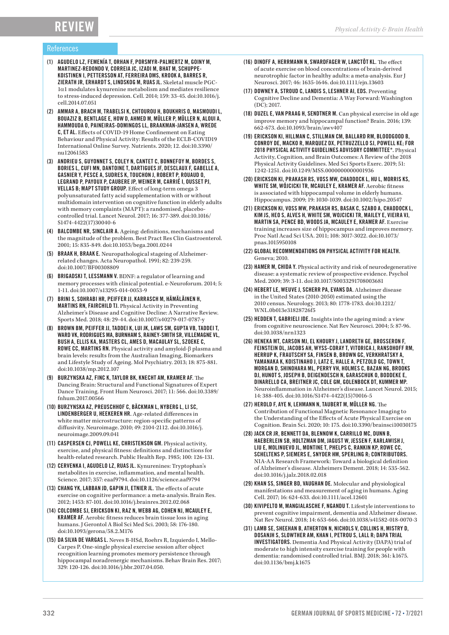# RE<sup>v</sup>

### References

- (1) AGUDELO LZ, FEMENÍA T, ORHAN F, PORSMYR-PALMERTZ M, GOINY M, MARTINEZ-REDONDO V, CORREIA JC, IZADI M, BHAT M, SCHUPPE-KOISTINEN I, PETTERSSON AT, FERREIRA DMS, KROOK A, BARRES R, ZIERATH JR, ERHARDT S, LINDSKOG M, RUAS JL. Skeletal muscle PGC-1α1 modulates kynurenine metabolism and mediates resilience to stress-induced depression. Cell. 2014; 159: 33-45. doi:10.1016/j. cell.2014.07.051
- (2) AMMAR A, BRACH M, TRABELSI K, CHTOUROU H, BOUKHRIS O, MASMOUDI L, BOUAZIZ B, BENTLAGE E, HOW D, AHMED M, MÜLLER P, MÜLLER N, ALOUI A, HAMMOUDA O, PAINEIRAS-DOMINGOS LL, BRAAKMAN-JANSEN A, WREDE C, ET AL. Effects of COVID-19 Home Confinement on Eating Behaviour and Physical Activity: Results of the ECLB-COVID19 International Online Survey. Nutrients. 2020; 12. doi:10.3390/ nu12061583
- (3) ANDRIEU S, GUYONNET S, COLEY N, CANTET C, BONNEFOY M, BORDES S, BORIES L, CUFI MN, DANTOINE T, DARTIGUES JF, DESCLAUX F, GABELLE A, GASNIER Y, PESCE A, SUDRES K, TOUCHON J, ROBERT P, ROUAUD O, LEGRAND P, PAYOUX P, CAUBERE JP, WEINER M, CARRIÉ I, OUSSET PJ, VELLAS B; MAPT STUDY GROUP. Effect of long-term omega 3 polyunsaturated fatty acid supplementation with or without multidomain intervention on cognitive function in elderly adults with memory complaints (MAPT): a randomised, placebocontrolled trial. Lancet Neurol. 2017; 16: 377-389. doi:10.1016/ S1474-4422(17)30040-6
- (4) BALCOMBE NR, SINCLAIR A. Ageing: definitions, mechanisms and the magnitude of the problem. Best Pract Res Clin Gastroenterol. 2001; 15: 835-849. doi:10.1053/bega.2001.0244
- (5) BRAAK H, BRAAK E. Neuropathological stageing of Alzheimerrelated changes. Acta Neuropathol. 1991; 82: 239-259. doi:10.1007/BF00308809
- (6) BRIGADSKI T, LESSMANN V. BDNF: a regulator of learning and memory processes with clinical potential. e-Neuroforum. 2014; 5: 1-11. doi:10.1007/s13295-014-0053-9
- (7) BRINI S, SOHRABI HR, PEIFFER JJ, KARRASCH M, HÄMÄLÄINEN H, MARTINS RN, FAIRCHILD TJ. Physical Activity in Preventing Alzheimer's Disease and Cognitive Decline: A Narrative Review. Sports Med. 2018; 48: 29-44. doi:10.1007/s40279-017-0787-y
- (8) BROWN BM, PEIFFER JJ, TADDEI K, LUI JK, LAWS SM, GUPTA VB, TADDEI T, WARD VK, RODRIGUES MA, BURNHAM S, RAINEY-SMITH SR, VILLEMAGNE VL, BUSH A, ELLIS KA, MASTERS CL, AMES D, MACAULAY SL, SZOEKE C, ROWE CC, MARTINS RN. Physical activity and amyloid-β plasma and brain levels: results from the Australian Imaging, Biomarkers and Lifestyle Study of Ageing. Mol Psychiatry. 2013; 18: 875-881. doi:10.1038/mp.2012.107
- (9) BURZYNSKA AZ, FINC K, TAYLOR BK, KNECHT AM, KRAMER AF. The Dancing Brain: Structural and Functional Signatures of Expert Dance Training. Front Hum Neurosci. 2017; 11: 566. doi:10.3389/ fnhum.2017.00566
- (10) BURZYNSKA AZ, PREUSCHHOF C, BÄCKMAN L, NYBERG L, LI SC, LINDENBERGER U, HEEKEREN HR. Age-related differences in white matter microstructure: region-specific patterns of diffusivity. Neuroimage. 2010; 49: 2104-2112. doi:10.1016/j. neuroimage.2009.09.041
- (11) CASPERSEN CJ, POWELL KE, CHRISTENSON GM. Physical activity, exercise, and physical fitness: definitions and distinctions for health-related research. Public Health Rep. 1985; 100: 126-131.
- (12) CERVENKA I, AGUDELO LZ, RUAS JL. Kynurenines: Tryptophan's metabolites in exercise, inflammation, and mental health. Science. 2017; 357: eaaf9794. doi:10.1126/science.aaf9794
- (13) CHANG YK, LABBAN JD, GAPIN JI, ETNIER JL. The effects of acute exercise on cognitive performance: a meta-analysis. Brain Res. 2012; 1453: 87-101. doi:10.1016/j.brainres.2012.02.068
- (14) COLCOMBE SJ, ERICKSON KI, RAZ N, WEBB AG, COHEN NJ, MCAULEY E, KRAMER AF. Aerobic fitness reduces brain tissue loss in aging humans. J Gerontol A Biol Sci Med Sci. 2003; 58: 176-180. doi:10.1093/gerona/58.2.M176
- (15) DA SILVA DE VARGAS L. Neves B-HSd, Roehrs R, Izquierdo I, Mello-Carpes P. One-single physical exercise session after object recognition learning promotes memory persistence through hippocampal noradrenergic mechanisms. Behav Brain Res. 2017; 329: 120-126. doi:10.1016/j.bbr.2017.04.050.
- (16) DINOFF A, HERRMANN N, SWARDFAGER W, LANCTÔT KL. The effect of acute exercise on blood concentrations of brain-derived neurotrophic factor in healthy adults: a meta-analysis. Eur J Neurosci. 2017; 46: 1635-1646. doi:10.1111/ejn.13603
- (17) DOWNEY A, STROUD C, LANDIS S, LESHNER AI, EDS. Preventing Cognitive Decline and Dementia: A Way Forward: Washington (DC); 2017.
- (18) DUZEL E, VAN PRAAG H, SENDTNER M. Can physical exercise in old age improve memory and hippocampal function? Brain. 2016; 139: 662-673. doi:10.1093/brain/awv407
- (19) ERICKSON KI, HILLMAN C, STILLMAN CM, BALLARD RM, BLOODGOOD B, CONROY DE, MACKO R, MARQUEZ DX, PETRUZZELLO SJ, POWELL KE; FOR 2018 PHYSICAL ACTIVITY GUIDELINES ADVISORY COMMITTEE\*. Physical Activity, Cognition, and Brain Outcomes: A Review of the 2018 Physical Activity Guidelines. Med Sci Sports Exerc. 2019; 51: 1242-1251. doi:10.1249/MSS.0000000000001936
- (20) ERICKSON KI, PRAKASH RS, VOSS MW, CHADDOCK L, HU L, MORRIS KS, WHITE SM, WÓJCICKI TR, MCAULEY E, KRAMER AF. Aerobic fitness is associated with hippocampal volume in elderly humans. Hippocampus. 2009; 19: 1030-1039. doi:10.1002/hipo.20547
- (21) ERICKSON KI, VOSS MW, PRAKASH RS, BASAK C, SZABO A, CHADDOCK L, KIM JS, HEO S, ALVES H, WHITE SM, WOJCICKI TR, MAILEY E, VIEIRA VJ, MARTIN SA, PENCE BD, WOODS JA, MCAULEY E, KRAMER AF. Exercise training increases size of hippocampus and improves memory. Proc Natl Acad Sci USA. 2011; 108: 3017-3022. doi:10.1073/ pnas.1015950108
- (22) GLOBAL RECOMMENDATIONS ON PHYSICAL ACTIVITY FOR HEALTH. Geneva; 2010.
- (23) HAMER M, CHIDA Y. Physical activity and risk of neurodegenerative disease: a systematic review of prospective evidence. Psychol Med. 2009; 39: 3-11. doi:10.1017/S0033291708003681
- (24) HEBERT LE, WEUVE J, SCHERR PA, EVANS DA. Alzheimer disease in the United States (2010-2050) estimated using the 2010 census. Neurology. 2013; 80: 1778-1783. doi:10.1212/ WNL.0b013e31828726f5
- (25) HEDDEN T, GABRIELI JDE. Insights into the ageing mind: a view from cognitive neuroscience. Nat Rev Neurosci. 2004; 5: 87-96. doi:10.1038/nrn1323
- (26) HENEKA MT, CARSON MJ, EL KHOURY J, LANDRETH GE, BROSSERON F, FEINSTEIN DL, JACOBS AH, WYSS-CORAY T, VITORICA J, RANSOHOFF RM, HERRUP K, FRAUTSCHY SA, FINSEN B, BROWN GC, VERKHRATSKY A, YAMANAKA K, KOISTINAHO J, LATZ E, HALLE A, PETZOLD GC, TOWN T, MORGAN D, SHINOHARA ML, PERRY VH, HOLMES C, BAZAN NG, BROOKS DJ, HUNOT S, JOSEPH B, DEIGENDESCH N, GARASCHUK O, BODDEKE E, DINARELLO CA, BREITNER JC, COLE GM, GOLENBOCK DT, KUMMER MP. Neuroinflammation in Alzheimer's disease. Lancet Neurol. 2015; 14: 388-405. doi:10.1016/S1474-4422(15)70016-5
- (27) HEROLD F, AYE N, LEHMANN N, TAUBERT M, MÜLLER NG. The Contribution of Functional Magnetic Resonance Imaging to the Understanding of the Effects of Acute Physical Exercise on Cognition. Brain Sci. 2020; 10: 175. doi:10.3390/brainsci10030175
- (28) JACK CR JR, BENNETT DA, BLENNOW K, CARRILLO MC, DUNN B, HAEBERLEIN SB, HOLTZMAN DM, JAGUST W, JESSEN F, KARLAWISH J, LIU E, MOLINUEVO JL, MONTINE T, PHELPS C, RANKIN KP, ROWE CC, SCHELTENS P, SIEMERS E, SNYDER HM, SPERLING R; CONTRIBUTORS. NIA-AA Research Framework: Toward a biological definition of Alzheimer's disease. Alzheimers Dement. 2018; 14: 535-562. doi:10.1016/j.jalz.2018.02.018
- (29) KHAN SS, SINGER BD, VAUGHAN DE. Molecular and physiological manifestations and measurement of aging in humans. Aging Cell. 2017; 16: 624-633. doi:10.1111/acel.12601
- (30) KIVIPELTO M, MANGIALASCHE F, NGANDU T. Lifestyle interventions to prevent cognitive impairment, dementia and Alzheimer disease. Nat Rev Neurol. 2018; 14: 653-666. doi:10.1038/s41582-018-0070-3
- (31) LAMB SE, SHEEHAN B, ATHERTON N, NICHOLS V, COLLINS H, MISTRY D, DOSANJH S, SLOWTHER AM, KHAN I, PETROU S, LALL R; DAPA TRIAL INVESTIGATORS. Dementia And Physical Activity (DAPA) trial of moderate to high intensity exercise training for people with dementia: randomised controlled trial. BMJ. 2018; 361: k1675. doi:10.1136/bmj.k1675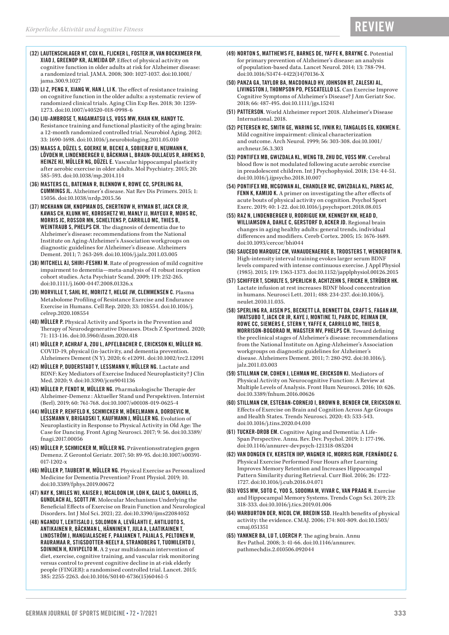# RE<sup>V</sup>

- (32) LAUTENSCHLAGER NT, COX KL, FLICKER L, FOSTER JK, VAN BOCKXMEER FM, XIAO J, GREENOP KR, ALMEIDA OP. Effect of physical activity on cognitive function in older adults at risk for Alzheimer disease: a randomized trial. JAMA. 2008; 300: 1027-1037. doi:10.1001/ jama.300.9.1027
- (33) LI Z, PENG X, XIANG W, HAN J, LI K. The effect of resistance training on cognitive function in the older adults: a systematic review of randomized clinical trials. Aging Clin Exp Res. 2018; 30: 1259- 1273. doi:10.1007/s40520-018-0998-6
- (34) LIU-AMBROSE T, NAGAMATSU LS, VOSS MW, KHAN KM, HANDY TC. Resistance training and functional plasticity of the aging brain: a 12-month randomized controlled trial. Neurobiol Aging. 2012; 33: 1690-1698. doi:10.1016/j.neurobiolaging.2011.05.010
- (35) MAASS A, DÜZEL S, GOERKE M, BECKE A, SOBIERAY U, NEUMANN K, LÖVDEN M, LINDENBERGER U, BÄCKMAN L, BRAUN-DULLAEUS R, AHRENS D, HEINZE HJ, MÜLLER NG, DÜZEL E. Vascular hippocampal plasticity after aerobic exercise in older adults. Mol Psychiatry. 2015; 20: 585-593. doi:10.1038/mp.2014.114
- (36) MASTERS CL, BATEMAN R, BLENNOW K, ROWE CC, SPERLING RA, CUMMINGS JL. Alzheimer's disease. Nat Rev Dis Primers. 2015; 1: 15056. doi:10.1038/nrdp.2015.56
- (37) MCKHANN GM, KNOPMAN DS, CHERTKOW H, HYMAN BT, JACK CR JR, KAWAS CH, KLUNK WE, KOROSHETZ WJ, MANLY JJ, MAYEUX R, MOHS RC, MORRIS JC, ROSSOR MN, SCHELTENS P, CARRILLO MC, THIES B, WEINTRAUB S, PHELPS CH. The diagnosis of dementia due to Alzheimer's disease: recommendations from the National Institute on Aging-Alzheimer's Association workgroups on diagnostic guidelines for Alzheimer's disease. Alzheimers Dement. 2011; 7: 263-269. doi:10.1016/j.jalz.2011.03.005
- (38) MITCHELL AJ, SHIRI-FESHKI M. Rate of progression of mild cognitive impairment to dementia—meta-analysis of 41 robust inception cohort studies. Acta Psychiatr Scand. 2009; 119: 252-265. doi:10.1111/j.1600-0447.2008.01326.x
- (39) MORVILLE T, SAHL RE, MORITZ T, HELGE JW, CLEMMENSEN C. Plasma Metabolome Profiling of Resistance Exercise and Endurance Exercise in Humans. Cell Rep. 2020; 33: 108554. doi:10.1016/j. celrep.2020.108554
- (40) MÜLLER P. Physical Activity and Sports in the Prevention and Therapy of Neurodegenerative Diseases. Dtsch Z Sportmed. 2020; 71: 113-116. doi:10.5960/dzsm.2020.418
- (41) MÜLLER P, ACHRAF A, ZOU L, APFELBACHER C, ERICKSON KI, MÜLLER NG. COVID-19, physical (in-)activity, and dementia prevention. Alzheimers Dement (N Y). 2020; 6: e12091. doi:10.1002/trc2.12091
- (42) MÜLLER P, DUDERSTADT Y, LESSMANN V, MÜLLER NG. Lactate and BDNF: Key Mediators of Exercise Induced Neuroplasticity? J Clin Med. 2020; 9. doi:10.3390/jcm9041136
- (43) MÜLLER P, FENDT M, MÜLLER NG. Pharmakologische Therapie der Alzheimer-Demenz : Aktueller Stand und Perspektiven. Internist (Berl). 2019; 60: 761-768. doi:10.1007/s00108-019-0625-4
- (44) MÜLLER P, REHFELD K, SCHMICKER M, HÖKELMANN A, DORDEVIC M, LESSMANN V, BRIGADSKI T, KAUFMANN J, MÜLLER NG. Evolution of Neuroplasticity in Response to Physical Activity in Old Age: The Case for Dancing. Front Aging Neurosci. 2017; 9: 56. doi:10.3389/ fnagi.2017.00056
- (45) MÜLLER P, SCHMICKER M, MÜLLER NG. Präventionsstrategien gegen Demenz. Z Gerontol Geriatr. 2017; 50: 89-95. doi:10.1007/s00391- 017-1202-x
- (46) MÜLLER P, TAUBERT M, MÜLLER NG. Physical Exercise as Personalized Medicine for Dementia Prevention? Front Physiol. 2019; 10. doi:10.3389/fphys.2019.00672
- (47) NAY K, SMILES WJ, KAISER J, MCALOON LM, LOH K, GALIC S, OAKHILL JS, GUNDLACH AL, SCOTT JW. Molecular Mechanisms Underlying the Beneficial Effects of Exercise on Brain Function and Neurological Disorders. Int J Mol Sci. 2021; 22. doi:10.3390/ijms22084052
- (48) NGANDU T, LEHTISALO J, SOLOMON A, LEVÄLAHTI E, AHTILUOTO S, ANTIKAINEN R, BÄCKMAN L, HÄNNINEN T, JULA A, LAATIKAINEN T, LINDSTRÖM J, MANGIALASCHE F, PAAJANEN T, PAJALA S, PELTONEN M, RAURAMAA R, STIGSDOTTER-NEELY A, STRANDBERG T, TUOMILEHTO J, SOININEN H, KIVIPELTO M. A 2 year multidomain intervention of diet, exercise, cognitive training, and vascular risk monitoring versus control to prevent cognitive decline in at-risk elderly people (FINGER): a randomised controlled trial. Lancet. 2015; 385: 2255-2263. doi:10.1016/S0140-6736(15)60461-5
- (49) NORTON S, MATTHEWS FE, BARNES DE, YAFFE K, BRAYNE C. Potential for primary prevention of Alzheimer's disease: an analysis of population-based data. Lancet Neurol. 2014; 13: 788-794. doi:10.1016/S1474-4422(14)70136-X
- (50) PANZA GA, TAYLOR BA, MACDONALD HV, JOHNSON BT, ZALESKI AL, LIVINGSTON J, THOMPSON PD, PESCATELLO LS. Can Exercise Improve Cognitive Symptoms of Alzheimer's Disease? J Am Geriatr Soc. 2018; 66: 487-495. doi:10.1111/jgs.15241
- (51) PATTERSON. World Alzheimer report 2018. Alzheimer's Disease International. 2018.
- (52) PETERSEN RC, SMITH GE, WARING SC, IVNIK RJ, TANGALOS EG, KOKMEN E. Mild cognitive impairment: clinical characterization and outcome. Arch Neurol. 1999; 56: 303-308. doi:10.1001/ archneur.56.3.303
- (53) PONTIFEX MB, GWIZDALA KL, WENG TB, ZHU DC, VOSS MW. Cerebral blood flow is not modulated following acute aerobic exercise in preadolescent children. Int J Psychophysiol. 2018; 134: 44-51. doi:10.1016/j.ijpsycho.2018.10.007
- (54) PONTIFEX MB, MCGOWAN AL, CHANDLER MC, GWIZDALA KL, PARKS AC, FENN K, KAMIJO K. A primer on investigating the after effects of acute bouts of physical activity on cognition. Psychol Sport Exerc. 2019; 40: 1-22. doi:10.1016/j.psychsport.2018.08.015
- (55) RAZ N, LINDENBERGER U, RODRIGUE KM, KENNEDY KM, HEAD D, WILLIAMSON A, DAHLE C, GERSTORF D, ACKER JD. Regional brain changes in aging healthy adults: general trends, individual differences and modifiers. Cereb Cortex. 2005; 15: 1676-1689. doi:10.1093/cercor/bhi044
- (56) SAUCEDO MARQUEZ CM, VANAUDENAERDE B, TROOSTERS T, WENDEROTH N. High-intensity interval training evokes larger serum BDNF levels compared with intense continuous exercise. J Appl Physiol (1985). 2015; 119: 1363-1373. doi:10.1152/japplphysiol.00126.2015
- (57) SCHIFFER T, SCHULTE S, SPERLICH B, ACHTZEHN S, FRICKE H, STRÜDER HK. Lactate infusion at rest increases BDNF blood concentration in humans. Neurosci Lett. 2011; 488: 234-237. doi:10.1016/j. neulet.2010.11.035.
- (58) SPERLING RA, AISEN PS, BECKETT LA, BENNETT DA, CRAFT S, FAGAN AM, IWATSUBO T, JACK CR JR, KAYE J, MONTINE TJ, PARK DC, REIMAN EM, ROWE CC, SIEMERS E, STERN Y, YAFFE K, CARRILLO MC, THIES B, MORRISON-BOGORAD M, WAGSTER MV, PHELPS CH. Toward defining the preclinical stages of Alzheimer's disease: recommendations from the National Institute on Aging-Alzheimer's Association workgroups on diagnostic guidelines for Alzheimer's disease. Alzheimers Dement. 2011; 7: 280-292. doi:10.1016/j. jalz.2011.03.003
- (59) STILLMAN CM, COHEN J, LEHMAN ME, ERICKSON KI. Mediators of Physical Activity on Neurocognitive Function: A Review at Multiple Levels of Analysis. Front Hum Neurosci. 2016; 10: 626. doi:10.3389/fnhum.2016.00626
- (60) STILLMAN CM, ESTEBAN-CORNEJO I, BROWN B, BENDER CM, ERICKSON KI. Effects of Exercise on Brain and Cognition Across Age Groups and Health States. Trends Neurosci. 2020; 43: 533-543. doi:10.1016/j.tins.2020.04.010
- (61) TUCKER-DROB EM. Cognitive Aging and Dementia: A Life-Span Perspective. Annu. Rev. Dev. Psychol. 2019; 1: 177-196. doi:10.1146/annurev-devpsych-121318-085204
- (62) VAN DONGEN EV, KERSTEN IHP, WAGNER IC, MORRIS RGM, FERNÁNDEZ G. Physical Exercise Performed Four Hours after Learning Improves Memory Retention and Increases Hippocampal Pattern Similarity during Retrieval. Curr Biol. 2016; 26: 1722- 1727. doi:10.1016/j.cub.2016.04.071
- (63) VOSS MW, SOTO C, YOO S, SODOMA M, VIVAR C, VAN PRAAG H. Exercise and Hippocampal Memory Systems. Trends Cogn Sci. 2019; 23: 318-333. doi:10.1016/j.tics.2019.01.006
- (64) WARBURTON DER, NICOL CW, BREDIN SSD. Health benefits of physical activity: the evidence. CMAJ. 2006; 174: 801-809. doi:10.1503/ cmaj.051351
- (65) YANKNER BA, LU T, LOERCH P. The aging brain. Annu Rev Pathol. 2008; 3: 41-66. doi:10.1146/annurev. pathmechdis.2.010506.092044